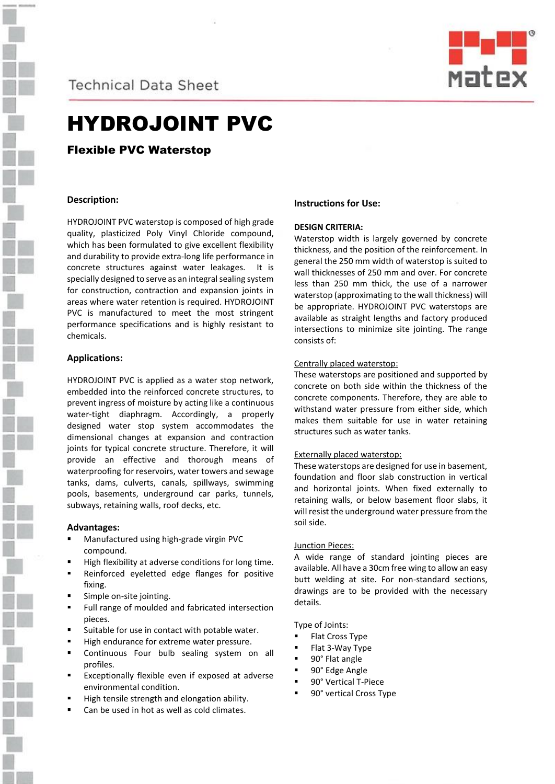

**Technical Data Sheet** 



# HYDROJOINT PVC

Flexible PVC Waterstop

## **Description:**

HYDROJOINT PVC waterstop is composed of high grade quality, plasticized Poly Vinyl Chloride compound, which has been formulated to give excellent flexibility and durability to provide extra-long life performance in concrete structures against water leakages. It is specially designed to serve as an integral sealing system for construction, contraction and expansion joints in areas where water retention is required. HYDROJOINT PVC is manufactured to meet the most stringent performance specifications and is highly resistant to chemicals.

## **Applications:**

HYDROJOINT PVC is applied as a water stop network, embedded into the reinforced concrete structures, to prevent ingress of moisture by acting like a continuous water-tight diaphragm. Accordingly, a properly designed water stop system accommodates the dimensional changes at expansion and contraction joints for typical concrete structure. Therefore, it will provide an effective and thorough means of waterproofing for reservoirs, water towers and sewage tanks, dams, culverts, canals, spillways, swimming pools, basements, underground car parks, tunnels, subways, retaining walls, roof decks, etc.

### **Advantages:**

- Manufactured using high-grade virgin PVC compound.
- High flexibility at adverse conditions for long time.
- Reinforced eyeletted edge flanges for positive fixing.
- Simple on-site jointing.
- Full range of moulded and fabricated intersection pieces.
- Suitable for use in contact with potable water.
- High endurance for extreme water pressure.
- Continuous Four bulb sealing system on all profiles.
- Exceptionally flexible even if exposed at adverse environmental condition.
- High tensile strength and elongation ability.
- Can be used in hot as well as cold climates.

## **Instructions for Use:**

## **DESIGN CRITERIA:**

Waterstop width is largely governed by concrete thickness, and the position of the reinforcement. In general the 250 mm width of waterstop is suited to wall thicknesses of 250 mm and over. For concrete less than 250 mm thick, the use of a narrower waterstop (approximating to the wall thickness) will be appropriate. HYDROJOINT PVC waterstops are available as straight lengths and factory produced intersections to minimize site jointing. The range consists of:

### Centrally placed waterstop:

These waterstops are positioned and supported by concrete on both side within the thickness of the concrete components. Therefore, they are able to withstand water pressure from either side, which makes them suitable for use in water retaining structures such as water tanks.

### Externally placed waterstop:

These waterstops are designed for use in basement, foundation and floor slab construction in vertical and horizontal joints. When fixed externally to retaining walls, or below basement floor slabs, it will resist the underground water pressure from the soil side.

### Junction Pieces:

A wide range of standard jointing pieces are available. All have a 30cm free wing to allow an easy butt welding at site. For non-standard sections, drawings are to be provided with the necessary details.

Type of Joints:

- Flat Cross Type
- Flat 3-Way Type
- 90° Flat angle
- 90° Edge Angle
- 90° Vertical T-Piece
- 90° vertical Cross Type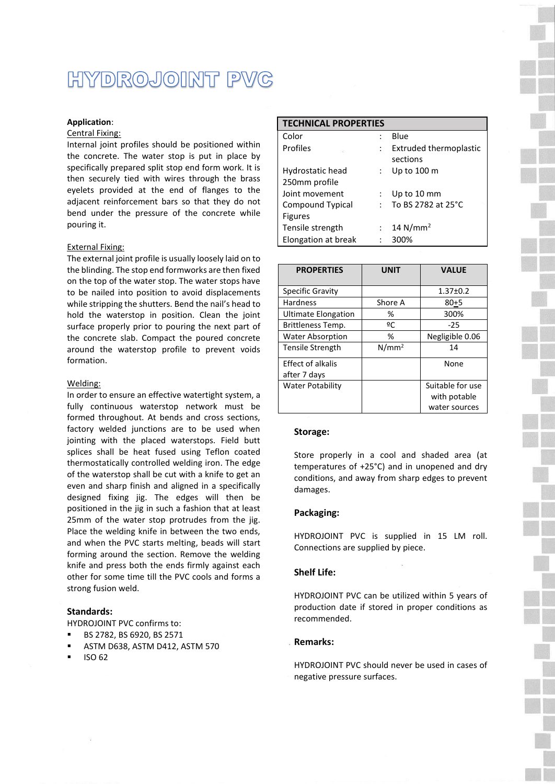# HYDROJOINT PVC

### **Application**:

#### Central Fixing:

Internal joint profiles should be positioned within the concrete. The water stop is put in place by specifically prepared split stop end form work. It is then securely tied with wires through the brass eyelets provided at the end of flanges to the adjacent reinforcement bars so that they do not bend under the pressure of the concrete while pouring it.

#### External Fixing:

The external joint profile is usually loosely laid on to the blinding. The stop end formworks are then fixed on the top of the water stop. The water stops have to be nailed into position to avoid displacements while stripping the shutters. Bend the nail's head to hold the waterstop in position. Clean the joint surface properly prior to pouring the next part of the concrete slab. Compact the poured concrete around the waterstop profile to prevent voids formation.

#### Welding:

In order to ensure an effective watertight system, a fully continuous waterstop network must be formed throughout. At bends and cross sections, factory welded junctions are to be used when jointing with the placed waterstops. Field butt splices shall be heat fused using Teflon coated thermostatically controlled welding iron. The edge of the waterstop shall be cut with a knife to get an even and sharp finish and aligned in a specifically designed fixing jig. The edges will then be positioned in the jig in such a fashion that at least 25mm of the water stop protrudes from the jig. Place the welding knife in between the two ends, and when the PVC starts melting, beads will start forming around the section. Remove the welding knife and press both the ends firmly against each other for some time till the PVC cools and forms a strong fusion weld.

### **Standards:**

HYDROJOINT PVC confirms to:

- BS 2782, BS 6920, BS 2571
- ASTM D638, ASTM D412, ASTM 570
- ISO 62

| <b>TECHNICAL PROPERTIES</b> |              |                        |  |  |  |
|-----------------------------|--------------|------------------------|--|--|--|
| Color                       |              | Blue                   |  |  |  |
| Profiles<br>5522            |              | Extruded thermoplastic |  |  |  |
|                             |              | sections               |  |  |  |
| Hydrostatic head            |              | Up to 100 m            |  |  |  |
| 250mm profile               |              |                        |  |  |  |
| Joint movement              |              | Up to 10 mm            |  |  |  |
| <b>Compound Typical</b>     | $\mathbf{L}$ | To BS 2782 at 25°C     |  |  |  |
| <b>Figures</b>              |              |                        |  |  |  |
| Tensile strength            |              | 14 $N/mm2$             |  |  |  |
| Elongation at break         |              | 300%                   |  |  |  |

| <b>PROPERTIES</b>          | <b>UNIT</b>       | <b>VALUE</b>     |
|----------------------------|-------------------|------------------|
| Specific Gravity           |                   | $1.37 \pm 0.2$   |
| Hardness                   | Shore A           | $80 + 5$         |
| <b>Ultimate Elongation</b> | %                 | 300%             |
| Brittleness Temp.          | ºC                | $-25$            |
| <b>Water Absorption</b>    | %                 | Negligible 0.06  |
| <b>Tensile Strength</b>    | N/mm <sup>2</sup> | 14               |
| Effect of alkalis          |                   | None             |
| after 7 days               |                   |                  |
| <b>Water Potability</b>    |                   | Suitable for use |
|                            |                   | with potable     |
|                            |                   | water sources    |

#### **Storage:**

Store properly in a cool and shaded area (at temperatures of +25°C) and in unopened and dry conditions, and away from sharp edges to prevent damages.

#### **Packaging:**

HYDROJOINT PVC is supplied in 15 LM roll. Connections are supplied by piece.

#### **Shelf Life:**

HYDROJOINT PVC can be utilized within 5 years of production date if stored in proper conditions as recommended.

### **Remarks:**

HYDROJOINT PVC should never be used in cases of negative pressure surfaces.